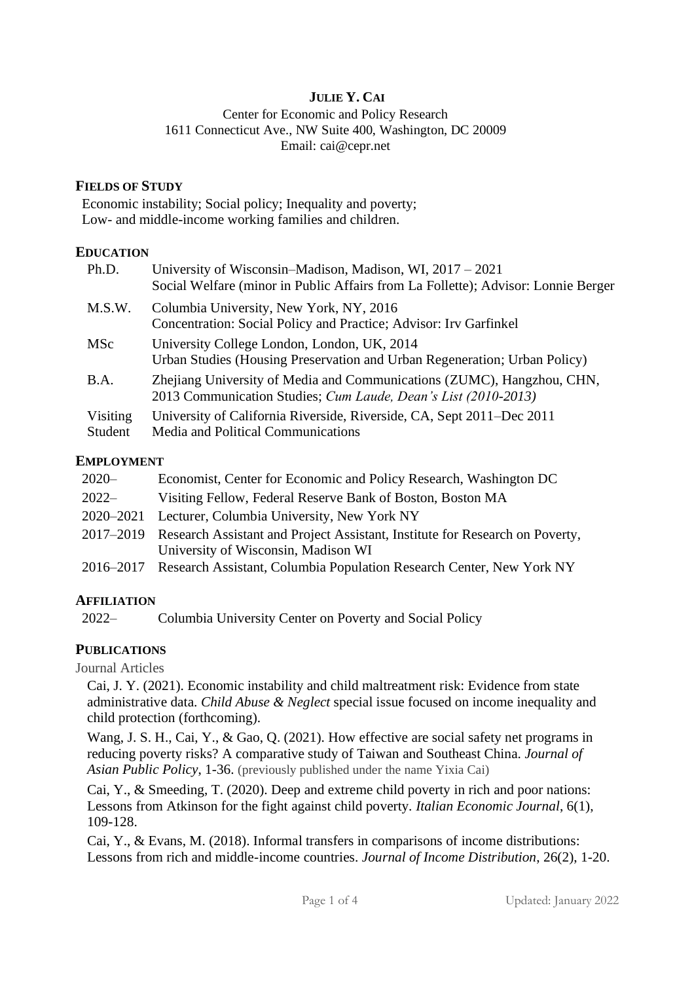# **JULIE Y. CAI**

Center for Economic and Policy Research 1611 Connecticut Ave., NW Suite 400, Washington, DC 20009 Email: [cai@cepr.net](mailto:cai@cepr.net)

#### **FIELDS OF STUDY**

Economic instability; Social policy; Inequality and poverty; Low- and middle-income working families and children.

#### **EDUCATION**

| Ph.D.               | University of Wisconsin–Madison, Madison, WI, $2017 - 2021$<br>Social Welfare (minor in Public Affairs from La Follette); Advisor: Lonnie Berger |
|---------------------|--------------------------------------------------------------------------------------------------------------------------------------------------|
| M.S.W.              | Columbia University, New York, NY, 2016<br>Concentration: Social Policy and Practice; Advisor: Irv Garfinkel                                     |
| <b>MSc</b>          | University College London, London, UK, 2014<br>Urban Studies (Housing Preservation and Urban Regeneration; Urban Policy)                         |
| B.A.                | Zhejiang University of Media and Communications (ZUMC), Hangzhou, CHN,<br>2013 Communication Studies; Cum Laude, Dean's List (2010-2013)         |
| Visiting<br>Student | University of California Riverside, Riverside, CA, Sept 2011-Dec 2011<br>Media and Political Communications                                      |

#### **EMPLOYMENT**

| $2020 -$  | Economist, Center for Economic and Policy Research, Washington DC                      |
|-----------|----------------------------------------------------------------------------------------|
| $2022-$   | Visiting Fellow, Federal Reserve Bank of Boston, Boston MA                             |
| 2020–2021 | Lecturer, Columbia University, New York NY                                             |
|           | 2017–2019 Research Assistant and Project Assistant, Institute for Research on Poverty, |
|           | University of Wisconsin, Madison WI                                                    |
|           | 2016–2017 Research Assistant, Columbia Population Research Center, New York NY         |

#### **AFFILIATION**

2022– Columbia University Center on Poverty and Social Policy

# **PUBLICATIONS**

Journal Articles

Cai, J. Y. (2021). Economic instability and child maltreatment risk: Evidence from state administrative data. *Child Abuse & Neglect* special issue focused on income inequality and child protection (forthcoming).

Wang, J. S. H., Cai, Y., & Gao, Q. (2021). How effective are social safety net programs in reducing poverty risks? A comparative study of Taiwan and Southeast China. *Journal of Asian Public Policy*, 1-36. (previously published under the name Yixia Cai)

Cai, Y., & Smeeding, T. (2020). Deep and extreme child poverty in rich and poor nations: Lessons from Atkinson for the fight against child poverty. *Italian Economic Journal*, 6(1), 109-128.

Cai, Y., & Evans, M. (2018). Informal transfers in comparisons of income distributions: Lessons from rich and middle-income countries. *Journal of Income Distribution*, 26(2), 1-20.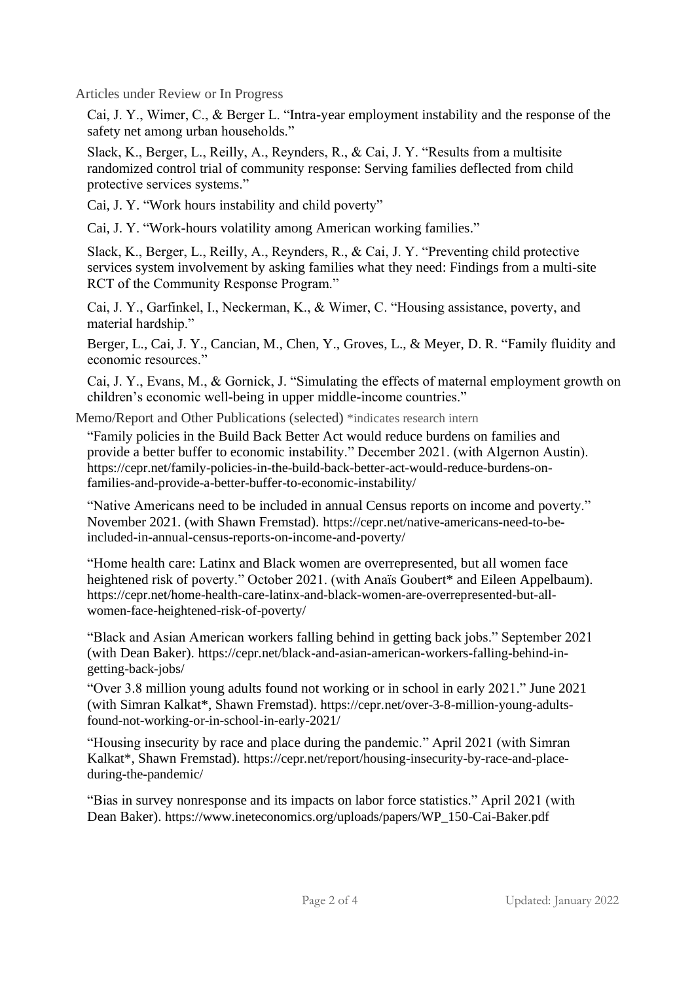Articles under Review or In Progress

Cai, J. Y., Wimer, C., & Berger L. "Intra-year employment instability and the response of the safety net among urban households."

Slack, K., Berger, L., Reilly, A., Reynders, R., & Cai, J. Y. "Results from a multisite randomized control trial of community response: Serving families deflected from child protective services systems."

Cai, J. Y. "Work hours instability and child poverty"

Cai, J. Y. "Work-hours volatility among American working families."

Slack, K., Berger, L., Reilly, A., Reynders, R., & Cai, J. Y. "Preventing child protective services system involvement by asking families what they need: Findings from a multi-site RCT of the Community Response Program."

Cai, J. Y., Garfinkel, I., Neckerman, K., & Wimer, C. "Housing assistance, poverty, and material hardship."

Berger, L., Cai, J. Y., Cancian, M., Chen, Y., Groves, L., & Meyer, D. R. "Family fluidity and economic resources."

Cai, J. Y., Evans, M., & Gornick, J. "Simulating the effects of maternal employment growth on children's economic well-being in upper middle-income countries."

Memo/Report and Other Publications (selected) \*indicates research intern

"Family policies in the Build Back Better Act would reduce burdens on families and provide a better buffer to economic instability." December 2021. (with Algernon Austin). [https://cepr.net/family-policies-in-the-build-back-better-act-would-reduce-burdens-on](https://cepr.net/family-policies-in-the-build-back-better-act-would-reduce-burdens-on-families-and-provide-a-better-buffer-to-economic-instability/)[families-and-provide-a-better-buffer-to-economic-instability/](https://cepr.net/family-policies-in-the-build-back-better-act-would-reduce-burdens-on-families-and-provide-a-better-buffer-to-economic-instability/)

"Native Americans need to be included in annual Census reports on income and poverty." November 2021. (with Shawn Fremstad). [https://cepr.net/native-americans-need-to-be](https://cepr.net/native-americans-need-to-be-included-in-annual-census-reports-on-income-and-poverty/)[included-in-annual-census-reports-on-income-and-poverty/](https://cepr.net/native-americans-need-to-be-included-in-annual-census-reports-on-income-and-poverty/)

"Home health care: Latinx and Black women are overrepresented, but all women face heightened risk of poverty." October 2021. (with Anaïs Goubert\* and Eileen Appelbaum). [https://cepr.net/home-health-care-latinx-and-black-women-are-overrepresented-but-all](https://cepr.net/home-health-care-latinx-and-black-women-are-overrepresented-but-all-women-face-heightened-risk-of-poverty/)[women-face-heightened-risk-of-poverty/](https://cepr.net/home-health-care-latinx-and-black-women-are-overrepresented-but-all-women-face-heightened-risk-of-poverty/)

"Black and Asian American workers falling behind in getting back jobs." September 2021 (with Dean Baker). [https://cepr.net/black-and-asian-american-workers-falling-behind-in](https://cepr.net/black-and-asian-american-workers-falling-behind-in-getting-back-jobs/)[getting-back-jobs/](https://cepr.net/black-and-asian-american-workers-falling-behind-in-getting-back-jobs/)

"Over 3.8 million young adults found not working or in school in early 2021." June 2021 (with Simran Kalkat\*, Shawn Fremstad). https://cepr.net/over-3-8-million-young-adultsfound-not-working-or-in-school-in-early-2021/

"Housing insecurity by race and place during the pandemic." April 2021 (with Simran Kalkat\*, Shawn Fremstad). https://cepr.net/report/housing-insecurity-by-race-and-placeduring-the-pandemic/

"Bias in survey nonresponse and its impacts on labor force statistics." April 2021 (with Dean Baker). https://www.ineteconomics.org/uploads/papers/WP\_150-Cai-Baker.pdf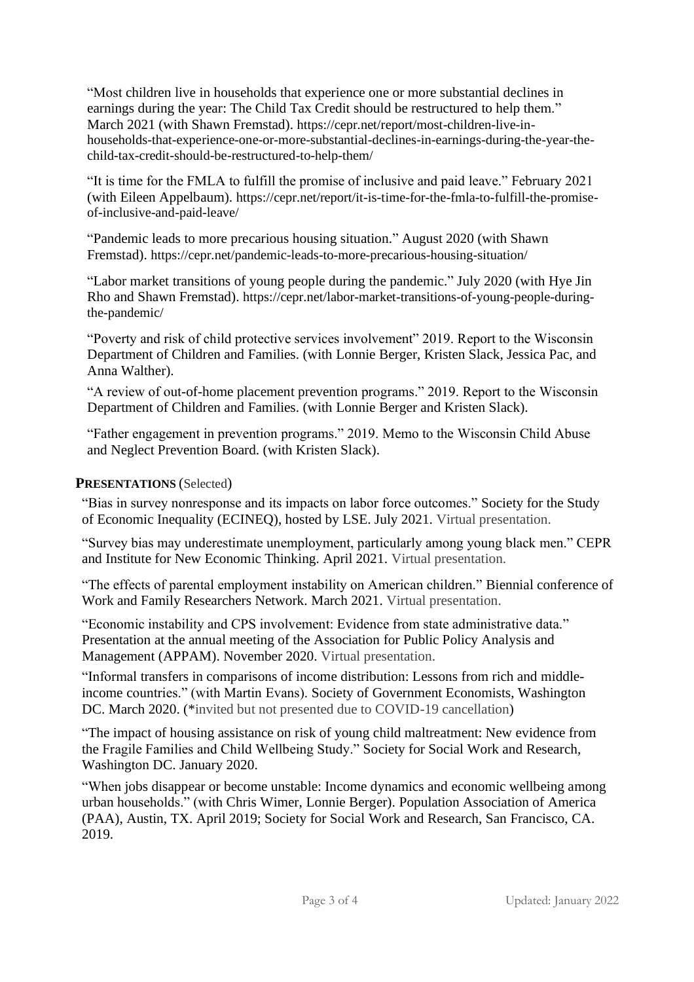"Most children live in households that experience one or more substantial declines in earnings during the year: The Child Tax Credit should be restructured to help them." March 2021 (with Shawn Fremstad). https://cepr.net/report/most-children-live-inhouseholds-that-experience-one-or-more-substantial-declines-in-earnings-during-the-year-thechild-tax-credit-should-be-restructured-to-help-them/

"It is time for the FMLA to fulfill the promise of inclusive and paid leave." February 2021 (with Eileen Appelbaum). https://cepr.net/report/it-is-time-for-the-fmla-to-fulfill-the-promiseof-inclusive-and-paid-leave/

"Pandemic leads to more precarious housing situation." August 2020 (with Shawn Fremstad). <https://cepr.net/pandemic-leads-to-more-precarious-housing-situation/>

"Labor market transitions of young people during the pandemic." July 2020 (with Hye Jin Rho and Shawn Fremstad). [https://cepr.net/labor-market-transitions-of-young-people-during](https://cepr.net/labor-market-transitions-of-young-people-during-the-pandemic/)[the-pandemic/](https://cepr.net/labor-market-transitions-of-young-people-during-the-pandemic/)

"Poverty and risk of child protective services involvement" 2019. Report to the Wisconsin Department of Children and Families. (with Lonnie Berger, Kristen Slack, Jessica Pac, and Anna Walther).

"A review of out-of-home placement prevention programs." 2019. Report to the Wisconsin Department of Children and Families. (with Lonnie Berger and Kristen Slack).

"Father engagement in prevention programs." 2019. Memo to the Wisconsin Child Abuse and Neglect Prevention Board. (with Kristen Slack).

### **PRESENTATIONS** (Selected)

"Bias in survey nonresponse and its impacts on labor force outcomes." Society for the Study of Economic Inequality (ECINEQ), hosted by LSE. July 2021. Virtual presentation.

"Survey bias may underestimate unemployment, particularly among young black men." CEPR and Institute for New Economic Thinking. April 2021. Virtual presentation.

"The effects of parental employment instability on American children." Biennial conference of Work and Family Researchers Network. March 2021. Virtual presentation.

"Economic instability and CPS involvement: Evidence from state administrative data." Presentation at the annual meeting of the Association for Public Policy Analysis and Management (APPAM). November 2020. Virtual presentation.

"Informal transfers in comparisons of income distribution: Lessons from rich and middleincome countries." (with Martin Evans). Society of Government Economists, Washington DC. March 2020. (\*invited but not presented due to COVID-19 cancellation)

"The impact of housing assistance on risk of young child maltreatment: New evidence from the Fragile Families and Child Wellbeing Study." Society for Social Work and Research, Washington DC. January 2020.

"When jobs disappear or become unstable: Income dynamics and economic wellbeing among urban households." (with Chris Wimer, Lonnie Berger). Population Association of America (PAA), Austin, TX. April 2019; Society for Social Work and Research, San Francisco, CA. 2019.